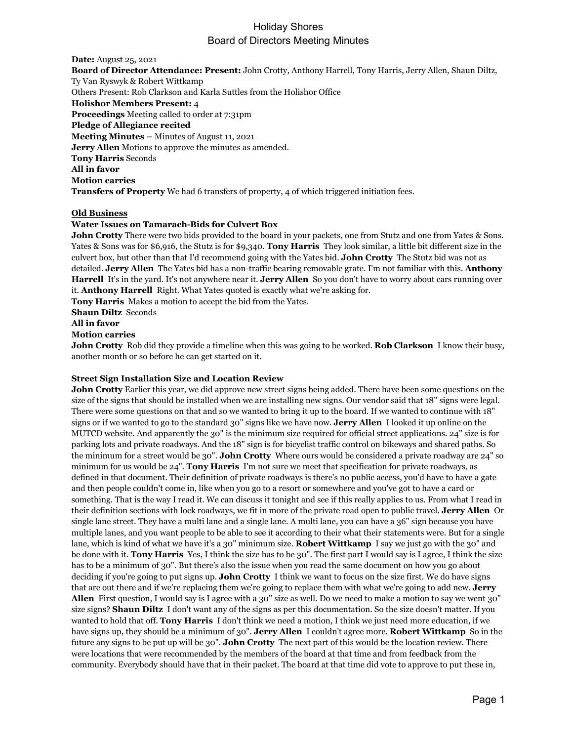**Date:** August 25, 2021 **Board of Director Attendance: Present:** John Crotty, Anthony Harrell, Tony Harris, Jerry Allen, Shaun Diltz, Ty Van Ryswyk & Robert Wittkamp Others Present: Rob Clarkson and Karla Suttles from the Holishor Office **Holishor Members Present:** 4 **Proceedings** Meeting called to order at 7:31pm **Pledge of Allegiance recited Meeting Minutes –** Minutes of August 11, 2021 **Jerry Allen** Motions to approve the minutes as amended. **Tony Harris** Seconds **All in favor Motion carries Transfers of Property** We had 6 transfers of property, 4 of which triggered initiation fees.

### **Old Business**

### **Water Issues on Tamarach-Bids for Culvert Box**

**John Crotty** There were two bids provided to the board in your packets, one from Stutz and one from Yates & Sons. Yates & Sons was for \$6,916, the Stutz is for \$9,340. **Tony Harris** They look similar, a little bit different size in the culvert box, but other than that I'd recommend going with the Yates bid. **John Crotty** The Stutz bid was not as detailed. **Jerry Allen** The Yates bid has a non-traffic bearing removable grate. I'm not familiar with this. **Anthony Harrell** It's in the yard. It's not anywhere near it. **Jerry Allen** So you don't have to worry about cars running over it. **Anthony Harrell** Right. What Yates quoted is exactly what we're asking for.

**Tony Harris** Makes a motion to accept the bid from the Yates.

**Shaun Diltz** Seconds

## **All in favor**

### **Motion carries**

**John Crotty** Rob did they provide a timeline when this was going to be worked. **Rob Clarkson** I know their busy, another month or so before he can get started on it.

### **Street Sign Installation Size and Location Review**

**John Crotty** Earlier this year, we did approve new street signs being added. There have been some questions on the size of the signs that should be installed when we are installing new signs. Our vendor said that 18" signs were legal. There were some questions on that and so we wanted to bring it up to the board. If we wanted to continue with 18" signs or if we wanted to go to the standard 30" signs like we have now. **Jerry Allen** I looked it up online on the MUTCD website. And apparently the 30" is the minimum size required for official street applications. 24" size is for parking lots and private roadways. And the 18" sign is for bicyclist traffic control on bikeways and shared paths. So the minimum for a street would be 30". **John Crotty** Where ours would be considered a private roadway are 24" so minimum for us would be 24". **Tony Harris** I'm not sure we meet that specification for private roadways, as defined in that document. Their definition of private roadways is there's no public access, you'd have to have a gate and then people couldn't come in, like when you go to a resort or somewhere and you've got to have a card or something. That is the way I read it. We can discuss it tonight and see if this really applies to us. From what I read in their definition sections with lock roadways, we fit in more of the private road open to public travel. **Jerry Allen** Or single lane street. They have a multi lane and a single lane. A multi lane, you can have a 36" sign because you have multiple lanes, and you want people to be able to see it according to their what their statements were. But for a single lane, which is kind of what we have it's a 30" minimum size. **Robert Wittkamp** I say we just go with the 30" and be done with it. **Tony Harris** Yes, I think the size has to be 30". The first part I would say is I agree, I think the size has to be a minimum of 30". But there's also the issue when you read the same document on how you go about deciding if you're going to put signs up. **John Crotty** I think we want to focus on the size first. We do have signs that are out there and if we're replacing them we're going to replace them with what we're going to add new. **Jerry Allen** First question, I would say is I agree with a 30" size as well. Do we need to make a motion to say we went 30" size signs? **Shaun Diltz** I don't want any of the signs as per this documentation. So the size doesn't matter. If you wanted to hold that off. **Tony Harris** I don't think we need a motion, I think we just need more education, if we have signs up, they should be a minimum of 30". **Jerry Allen** I couldn't agree more. **Robert Wittkamp** So in the future any signs to be put up will be 30". **John Crotty** The next part of this would be the location review. There were locations that were recommended by the members of the board at that time and from feedback from the community. Everybody should have that in their packet. The board at that time did vote to approve to put these in,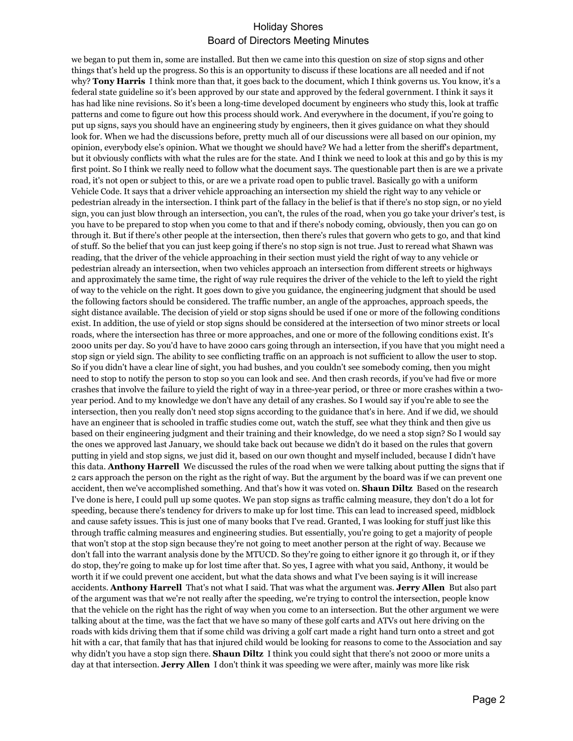we began to put them in, some are installed. But then we came into this question on size of stop signs and other things that's held up the progress. So this is an opportunity to discuss if these locations are all needed and if not why? **Tony Harris** I think more than that, it goes back to the document, which I think governs us. You know, it's a federal state guideline so it's been approved by our state and approved by the federal government. I think it says it has had like nine revisions. So it's been a long-time developed document by engineers who study this, look at traffic patterns and come to figure out how this process should work. And everywhere in the document, if you're going to put up signs, says you should have an engineering study by engineers, then it gives guidance on what they should look for. When we had the discussions before, pretty much all of our discussions were all based on our opinion, my opinion, everybody else's opinion. What we thought we should have? We had a letter from the sheriff's department, but it obviously conflicts with what the rules are for the state. And I think we need to look at this and go by this is my first point. So I think we really need to follow what the document says. The questionable part then is are we a private road, it's not open or subject to this, or are we a private road open to public travel. Basically go with a uniform Vehicle Code. It says that a driver vehicle approaching an intersection my shield the right way to any vehicle or pedestrian already in the intersection. I think part of the fallacy in the belief is that if there's no stop sign, or no yield sign, you can just blow through an intersection, you can't, the rules of the road, when you go take your driver's test, is you have to be prepared to stop when you come to that and if there's nobody coming, obviously, then you can go on through it. But if there's other people at the intersection, then there's rules that govern who gets to go, and that kind of stuff. So the belief that you can just keep going if there's no stop sign is not true. Just to reread what Shawn was reading, that the driver of the vehicle approaching in their section must yield the right of way to any vehicle or pedestrian already an intersection, when two vehicles approach an intersection from different streets or highways and approximately the same time, the right of way rule requires the driver of the vehicle to the left to yield the right of way to the vehicle on the right. It goes down to give you guidance, the engineering judgment that should be used the following factors should be considered. The traffic number, an angle of the approaches, approach speeds, the sight distance available. The decision of yield or stop signs should be used if one or more of the following conditions exist. In addition, the use of yield or stop signs should be considered at the intersection of two minor streets or local roads, where the intersection has three or more approaches, and one or more of the following conditions exist. It's 2000 units per day. So you'd have to have 2000 cars going through an intersection, if you have that you might need a stop sign or yield sign. The ability to see conflicting traffic on an approach is not sufficient to allow the user to stop. So if you didn't have a clear line of sight, you had bushes, and you couldn't see somebody coming, then you might need to stop to notify the person to stop so you can look and see. And then crash records, if you've had five or more crashes that involve the failure to yield the right of way in a three-year period, or three or more crashes within a twoyear period. And to my knowledge we don't have any detail of any crashes. So I would say if you're able to see the intersection, then you really don't need stop signs according to the guidance that's in here. And if we did, we should have an engineer that is schooled in traffic studies come out, watch the stuff, see what they think and then give us based on their engineering judgment and their training and their knowledge, do we need a stop sign? So I would say the ones we approved last January, we should take back out because we didn't do it based on the rules that govern putting in yield and stop signs, we just did it, based on our own thought and myself included, because I didn't have this data. **Anthony Harrell** We discussed the rules of the road when we were talking about putting the signs that if 2 cars approach the person on the right as the right of way. But the argument by the board was if we can prevent one accident, then we've accomplished something. And that's how it was voted on. **Shaun Diltz** Based on the research I've done is here, I could pull up some quotes. We pan stop signs as traffic calming measure, they don't do a lot for speeding, because there's tendency for drivers to make up for lost time. This can lead to increased speed, midblock and cause safety issues. This is just one of many books that I've read. Granted, I was looking for stuff just like this through traffic calming measures and engineering studies. But essentially, you're going to get a majority of people that won't stop at the stop sign because they're not going to meet another person at the right of way. Because we don't fall into the warrant analysis done by the MTUCD. So they're going to either ignore it go through it, or if they do stop, they're going to make up for lost time after that. So yes, I agree with what you said, Anthony, it would be worth it if we could prevent one accident, but what the data shows and what I've been saying is it will increase accidents. **Anthony Harrell** That's not what I said. That was what the argument was. **Jerry Allen** But also part of the argument was that we're not really after the speeding, we're trying to control the intersection, people know that the vehicle on the right has the right of way when you come to an intersection. But the other argument we were talking about at the time, was the fact that we have so many of these golf carts and ATVs out here driving on the roads with kids driving them that if some child was driving a golf cart made a right hand turn onto a street and got hit with a car, that family that has that injured child would be looking for reasons to come to the Association and say why didn't you have a stop sign there. **Shaun Diltz** I think you could sight that there's not 2000 or more units a day at that intersection. **Jerry Allen** I don't think it was speeding we were after, mainly was more like risk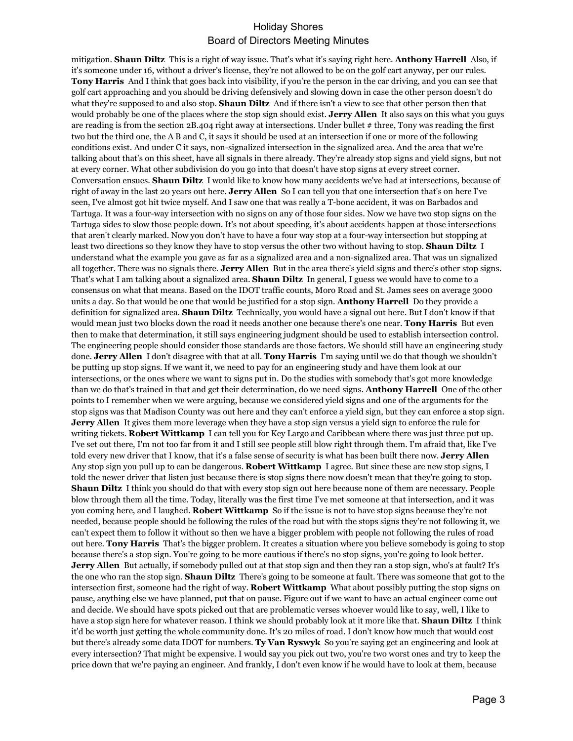mitigation. **Shaun Diltz** This is a right of way issue. That's what it's saying right here. **Anthony Harrell** Also, if it's someone under 16, without a driver's license, they're not allowed to be on the golf cart anyway, per our rules. **Tony Harris** And I think that goes back into visibility, if you're the person in the car driving, and you can see that golf cart approaching and you should be driving defensively and slowing down in case the other person doesn't do what they're supposed to and also stop. **Shaun Diltz** And if there isn't a view to see that other person then that would probably be one of the places where the stop sign should exist. **Jerry Allen** It also says on this what you guys are reading is from the section 2B.404 right away at intersections. Under bullet # three, Tony was reading the first two but the third one, the A B and C, it says it should be used at an intersection if one or more of the following conditions exist. And under C it says, non-signalized intersection in the signalized area. And the area that we're talking about that's on this sheet, have all signals in there already. They're already stop signs and yield signs, but not at every corner. What other subdivision do you go into that doesn't have stop signs at every street corner. Conversation ensues. **Shaun Diltz** I would like to know how many accidents we've had at intersections, because of right of away in the last 20 years out here. **Jerry Allen** So I can tell you that one intersection that's on here I've seen, I've almost got hit twice myself. And I saw one that was really a T-bone accident, it was on Barbados and Tartuga. It was a four-way intersection with no signs on any of those four sides. Now we have two stop signs on the Tartuga sides to slow those people down. It's not about speeding, it's about accidents happen at those intersections that aren't clearly marked. Now you don't have to have a four way stop at a four-way intersection but stopping at least two directions so they know they have to stop versus the other two without having to stop. **Shaun Diltz** I understand what the example you gave as far as a signalized area and a non-signalized area. That was un signalized all together. There was no signals there. **Jerry Allen** But in the area there's yield signs and there's other stop signs. That's what I am talking about a signalized area. **Shaun Diltz** In general, I guess we would have to come to a consensus on what that means. Based on the IDOT traffic counts, Moro Road and St. James sees on average 3000 units a day. So that would be one that would be justified for a stop sign. **Anthony Harrell** Do they provide a definition for signalized area. **Shaun Diltz** Technically, you would have a signal out here. But I don't know if that would mean just two blocks down the road it needs another one because there's one near. **Tony Harris** But even then to make that determination, it still says engineering judgment should be used to establish intersection control. The engineering people should consider those standards are those factors. We should still have an engineering study done. **Jerry Allen** I don't disagree with that at all. **Tony Harris** I'm saying until we do that though we shouldn't be putting up stop signs. If we want it, we need to pay for an engineering study and have them look at our intersections, or the ones where we want to signs put in. Do the studies with somebody that's got more knowledge than we do that's trained in that and get their determination, do we need signs. **Anthony Harrell** One of the other points to I remember when we were arguing, because we considered yield signs and one of the arguments for the stop signs was that Madison County was out here and they can't enforce a yield sign, but they can enforce a stop sign. **Jerry Allen** It gives them more leverage when they have a stop sign versus a yield sign to enforce the rule for writing tickets. **Robert Wittkamp** I can tell you for Key Largo and Caribbean where there was just three put up. I've set out there, I'm not too far from it and I still see people still blow right through them. I'm afraid that, like I've told every new driver that I know, that it's a false sense of security is what has been built there now. **Jerry Allen**  Any stop sign you pull up to can be dangerous. **Robert Wittkamp** I agree. But since these are new stop signs, I told the newer driver that listen just because there is stop signs there now doesn't mean that they're going to stop. **Shaun Diltz** I think you should do that with every stop sign out here because none of them are necessary. People blow through them all the time. Today, literally was the first time I've met someone at that intersection, and it was you coming here, and I laughed. **Robert Wittkamp** So if the issue is not to have stop signs because they're not needed, because people should be following the rules of the road but with the stops signs they're not following it, we can't expect them to follow it without so then we have a bigger problem with people not following the rules of road out here. **Tony Harris** That's the bigger problem. It creates a situation where you believe somebody is going to stop because there's a stop sign. You're going to be more cautious if there's no stop signs, you're going to look better. **Jerry Allen** But actually, if somebody pulled out at that stop sign and then they ran a stop sign, who's at fault? It's the one who ran the stop sign. **Shaun Diltz** There's going to be someone at fault. There was someone that got to the intersection first, someone had the right of way. **Robert Wittkamp** What about possibly putting the stop signs on pause, anything else we have planned, put that on pause. Figure out if we want to have an actual engineer come out and decide. We should have spots picked out that are problematic verses whoever would like to say, well, I like to have a stop sign here for whatever reason. I think we should probably look at it more like that. **Shaun Diltz** I think it'd be worth just getting the whole community done. It's 20 miles of road. I don't know how much that would cost but there's already some data IDOT for numbers. **Ty Van Ryswyk** So you're saying get an engineering and look at every intersection? That might be expensive. I would say you pick out two, you're two worst ones and try to keep the price down that we're paying an engineer. And frankly, I don't even know if he would have to look at them, because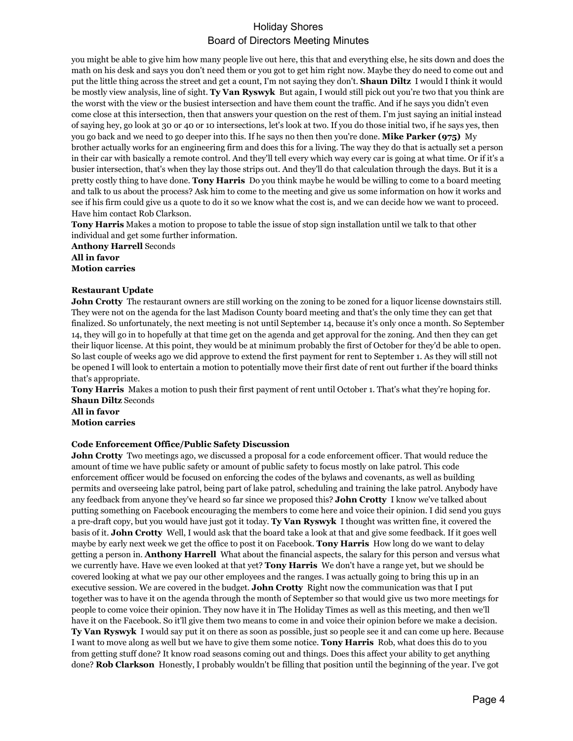you might be able to give him how many people live out here, this that and everything else, he sits down and does the math on his desk and says you don't need them or you got to get him right now. Maybe they do need to come out and put the little thing across the street and get a count, I'm not saying they don't. **Shaun Diltz** I would I think it would be mostly view analysis, line of sight. **Ty Van Ryswyk** But again, I would still pick out you're two that you think are the worst with the view or the busiest intersection and have them count the traffic. And if he says you didn't even come close at this intersection, then that answers your question on the rest of them. I'm just saying an initial instead of saying hey, go look at 30 or 40 or 10 intersections, let's look at two. If you do those initial two, if he says yes, then you go back and we need to go deeper into this. If he says no then then you're done. **Mike Parker (975)** My brother actually works for an engineering firm and does this for a living. The way they do that is actually set a person in their car with basically a remote control. And they'll tell every which way every car is going at what time. Or if it's a busier intersection, that's when they lay those strips out. And they'll do that calculation through the days. But it is a pretty costly thing to have done. **Tony Harris** Do you think maybe he would be willing to come to a board meeting and talk to us about the process? Ask him to come to the meeting and give us some information on how it works and see if his firm could give us a quote to do it so we know what the cost is, and we can decide how we want to proceed. Have him contact Rob Clarkson.

**Tony Harris** Makes a motion to propose to table the issue of stop sign installation until we talk to that other individual and get some further information.

**Anthony Harrell** Seconds **All in favor Motion carries**

### **Restaurant Update**

**John Crotty** The restaurant owners are still working on the zoning to be zoned for a liquor license downstairs still. They were not on the agenda for the last Madison County board meeting and that's the only time they can get that finalized. So unfortunately, the next meeting is not until September 14, because it's only once a month. So September 14, they will go in to hopefully at that time get on the agenda and get approval for the zoning. And then they can get their liquor license. At this point, they would be at minimum probably the first of October for they'd be able to open. So last couple of weeks ago we did approve to extend the first payment for rent to September 1. As they will still not be opened I will look to entertain a motion to potentially move their first date of rent out further if the board thinks that's appropriate.

**Tony Harris** Makes a motion to push their first payment of rent until October 1. That's what they're hoping for. **Shaun Diltz** Seconds

**All in favor Motion carries**

### **Code Enforcement Office/Public Safety Discussion**

**John Crotty** Two meetings ago, we discussed a proposal for a code enforcement officer. That would reduce the amount of time we have public safety or amount of public safety to focus mostly on lake patrol. This code enforcement officer would be focused on enforcing the codes of the bylaws and covenants, as well as building permits and overseeing lake patrol, being part of lake patrol, scheduling and training the lake patrol. Anybody have any feedback from anyone they've heard so far since we proposed this? **John Crotty** I know we've talked about putting something on Facebook encouraging the members to come here and voice their opinion. I did send you guys a pre-draft copy, but you would have just got it today. **Ty Van Ryswyk** I thought was written fine, it covered the basis of it. **John Crotty** Well, I would ask that the board take a look at that and give some feedback. If it goes well maybe by early next week we get the office to post it on Facebook. **Tony Harris** How long do we want to delay getting a person in. **Anthony Harrell** What about the financial aspects, the salary for this person and versus what we currently have. Have we even looked at that yet? **Tony Harris** We don't have a range yet, but we should be covered looking at what we pay our other employees and the ranges. I was actually going to bring this up in an executive session. We are covered in the budget. **John Crotty** Right now the communication was that I put together was to have it on the agenda through the month of September so that would give us two more meetings for people to come voice their opinion. They now have it in The Holiday Times as well as this meeting, and then we'll have it on the Facebook. So it'll give them two means to come in and voice their opinion before we make a decision. **Ty Van Ryswyk** I would say put it on there as soon as possible, just so people see it and can come up here. Because I want to move along as well but we have to give them some notice. **Tony Harris** Rob, what does this do to you from getting stuff done? It know road seasons coming out and things. Does this affect your ability to get anything done? **Rob Clarkson** Honestly, I probably wouldn't be filling that position until the beginning of the year. I've got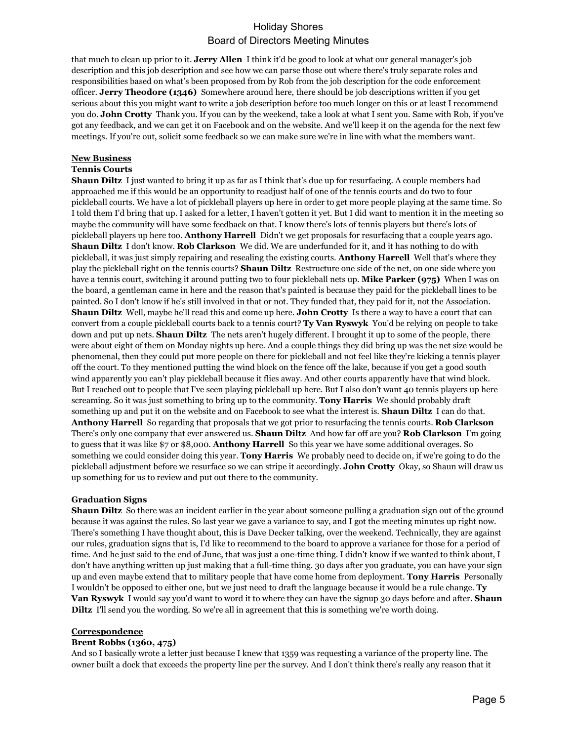that much to clean up prior to it. **Jerry Allen** I think it'd be good to look at what our general manager's job description and this job description and see how we can parse those out where there's truly separate roles and responsibilities based on what's been proposed from by Rob from the job description for the code enforcement officer. **Jerry Theodore (1346)** Somewhere around here, there should be job descriptions written if you get serious about this you might want to write a job description before too much longer on this or at least I recommend you do. **John Crotty** Thank you. If you can by the weekend, take a look at what I sent you. Same with Rob, if you've got any feedback, and we can get it on Facebook and on the website. And we'll keep it on the agenda for the next few meetings. If you're out, solicit some feedback so we can make sure we're in line with what the members want.

## **New Business**

### **Tennis Courts**

**Shaun Diltz** I just wanted to bring it up as far as I think that's due up for resurfacing. A couple members had approached me if this would be an opportunity to readjust half of one of the tennis courts and do two to four pickleball courts. We have a lot of pickleball players up here in order to get more people playing at the same time. So I told them I'd bring that up. I asked for a letter, I haven't gotten it yet. But I did want to mention it in the meeting so maybe the community will have some feedback on that. I know there's lots of tennis players but there's lots of pickleball players up here too. **Anthony Harrell** Didn't we get proposals for resurfacing that a couple years ago. **Shaun Diltz** I don't know. **Rob Clarkson** We did. We are underfunded for it, and it has nothing to do with pickleball, it was just simply repairing and resealing the existing courts. **Anthony Harrell** Well that's where they play the pickleball right on the tennis courts? **Shaun Diltz** Restructure one side of the net, on one side where you have a tennis court, switching it around putting two to four pickleball nets up. **Mike Parker (975)** When I was on the board, a gentleman came in here and the reason that's painted is because they paid for the pickleball lines to be painted. So I don't know if he's still involved in that or not. They funded that, they paid for it, not the Association. **Shaun Diltz** Well, maybe he'll read this and come up here. **John Crotty** Is there a way to have a court that can convert from a couple pickleball courts back to a tennis court? **Ty Van Ryswyk** You'd be relying on people to take down and put up nets. **Shaun Diltz** The nets aren't hugely different. I brought it up to some of the people, there were about eight of them on Monday nights up here. And a couple things they did bring up was the net size would be phenomenal, then they could put more people on there for pickleball and not feel like they're kicking a tennis player off the court. To they mentioned putting the wind block on the fence off the lake, because if you get a good south wind apparently you can't play pickleball because it flies away. And other courts apparently have that wind block. But I reached out to people that I've seen playing pickleball up here. But I also don't want 40 tennis players up here screaming. So it was just something to bring up to the community. **Tony Harris** We should probably draft something up and put it on the website and on Facebook to see what the interest is. **Shaun Diltz** I can do that. **Anthony Harrell** So regarding that proposals that we got prior to resurfacing the tennis courts. **Rob Clarkson**  There's only one company that ever answered us. **Shaun Diltz** And how far off are you? **Rob Clarkson** I'm going to guess that it was like \$7 or \$8,000. **Anthony Harrell** So this year we have some additional overages. So something we could consider doing this year. **Tony Harris** We probably need to decide on, if we're going to do the pickleball adjustment before we resurface so we can stripe it accordingly. **John Crotty** Okay, so Shaun will draw us up something for us to review and put out there to the community.

### **Graduation Signs**

**Shaun Diltz** So there was an incident earlier in the year about someone pulling a graduation sign out of the ground because it was against the rules. So last year we gave a variance to say, and I got the meeting minutes up right now. There's something I have thought about, this is Dave Decker talking, over the weekend. Technically, they are against our rules, graduation signs that is, I'd like to recommend to the board to approve a variance for those for a period of time. And he just said to the end of June, that was just a one-time thing. I didn't know if we wanted to think about, I don't have anything written up just making that a full-time thing. 30 days after you graduate, you can have your sign up and even maybe extend that to military people that have come home from deployment. **Tony Harris** Personally I wouldn't be opposed to either one, but we just need to draft the language because it would be a rule change. **Ty Van Ryswyk** I would say you'd want to word it to where they can have the signup 30 days before and after. **Shaun Diltz** I'll send you the wording. So we're all in agreement that this is something we're worth doing.

### **Correspondence**

### **Brent Robbs (1360, 475)**

And so I basically wrote a letter just because I knew that 1359 was requesting a variance of the property line. The owner built a dock that exceeds the property line per the survey. And I don't think there's really any reason that it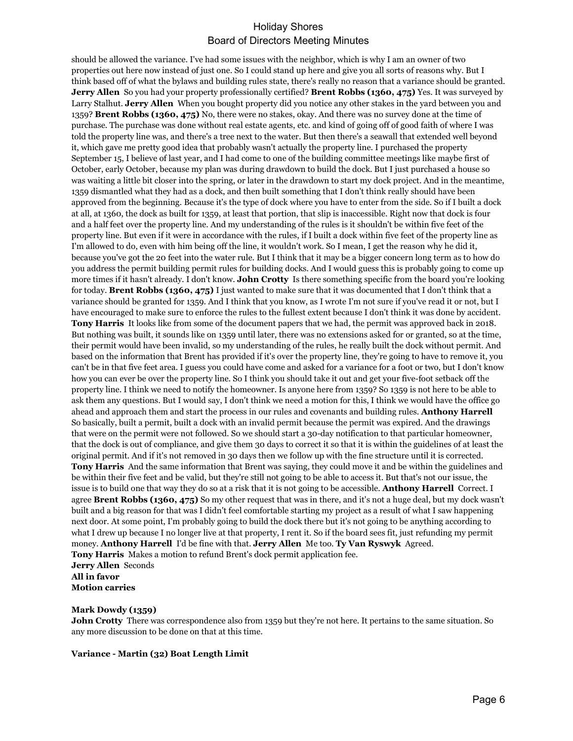should be allowed the variance. I've had some issues with the neighbor, which is why I am an owner of two properties out here now instead of just one. So I could stand up here and give you all sorts of reasons why. But I think based off of what the bylaws and building rules state, there's really no reason that a variance should be granted. **Jerry Allen** So you had your property professionally certified? **Brent Robbs (1360, 475)** Yes. It was surveyed by Larry Stalhut. **Jerry Allen** When you bought property did you notice any other stakes in the yard between you and 1359? **Brent Robbs (1360, 475)** No, there were no stakes, okay. And there was no survey done at the time of purchase. The purchase was done without real estate agents, etc. and kind of going off of good faith of where I was told the property line was, and there's a tree next to the water. But then there's a seawall that extended well beyond it, which gave me pretty good idea that probably wasn't actually the property line. I purchased the property September 15, I believe of last year, and I had come to one of the building committee meetings like maybe first of October, early October, because my plan was during drawdown to build the dock. But I just purchased a house so was waiting a little bit closer into the spring, or later in the drawdown to start my dock project. And in the meantime, 1359 dismantled what they had as a dock, and then built something that I don't think really should have been approved from the beginning. Because it's the type of dock where you have to enter from the side. So if I built a dock at all, at 1360, the dock as built for 1359, at least that portion, that slip is inaccessible. Right now that dock is four and a half feet over the property line. And my understanding of the rules is it shouldn't be within five feet of the property line. But even if it were in accordance with the rules, if I built a dock within five feet of the property line as I'm allowed to do, even with him being off the line, it wouldn't work. So I mean, I get the reason why he did it, because you've got the 20 feet into the water rule. But I think that it may be a bigger concern long term as to how do you address the permit building permit rules for building docks. And I would guess this is probably going to come up more times if it hasn't already. I don't know. **John Crotty** Is there something specific from the board you're looking for today. **Brent Robbs (1360, 475)** I just wanted to make sure that it was documented that I don't think that a variance should be granted for 1359. And I think that you know, as I wrote I'm not sure if you've read it or not, but I have encouraged to make sure to enforce the rules to the fullest extent because I don't think it was done by accident. **Tony Harris** It looks like from some of the document papers that we had, the permit was approved back in 2018. But nothing was built, it sounds like on 1359 until later, there was no extensions asked for or granted, so at the time, their permit would have been invalid, so my understanding of the rules, he really built the dock without permit. And based on the information that Brent has provided if it's over the property line, they're going to have to remove it, you can't be in that five feet area. I guess you could have come and asked for a variance for a foot or two, but I don't know how you can ever be over the property line. So I think you should take it out and get your five-foot setback off the property line. I think we need to notify the homeowner. Is anyone here from 1359? So 1359 is not here to be able to ask them any questions. But I would say, I don't think we need a motion for this, I think we would have the office go ahead and approach them and start the process in our rules and covenants and building rules. **Anthony Harrell**  So basically, built a permit, built a dock with an invalid permit because the permit was expired. And the drawings that were on the permit were not followed. So we should start a 30-day notification to that particular homeowner, that the dock is out of compliance, and give them 30 days to correct it so that it is within the guidelines of at least the original permit. And if it's not removed in 30 days then we follow up with the fine structure until it is corrected. **Tony Harris** And the same information that Brent was saying, they could move it and be within the guidelines and be within their five feet and be valid, but they're still not going to be able to access it. But that's not our issue, the issue is to build one that way they do so at a risk that it is not going to be accessible. **Anthony Harrell** Correct. I agree **Brent Robbs (1360, 475)** So my other request that was in there, and it's not a huge deal, but my dock wasn't built and a big reason for that was I didn't feel comfortable starting my project as a result of what I saw happening next door. At some point, I'm probably going to build the dock there but it's not going to be anything according to what I drew up because I no longer live at that property, I rent it. So if the board sees fit, just refunding my permit money. **Anthony Harrell** I'd be fine with that. **Jerry Allen** Me too. **Ty Van Ryswyk** Agreed. **Tony Harris** Makes a motion to refund Brent's dock permit application fee. **Jerry Allen** Seconds **All in favor Motion carries**

### **Mark Dowdy (1359)**

**John Crotty** There was correspondence also from 1359 but they're not here. It pertains to the same situation. So any more discussion to be done on that at this time.

#### **Variance - Martin (32) Boat Length Limit**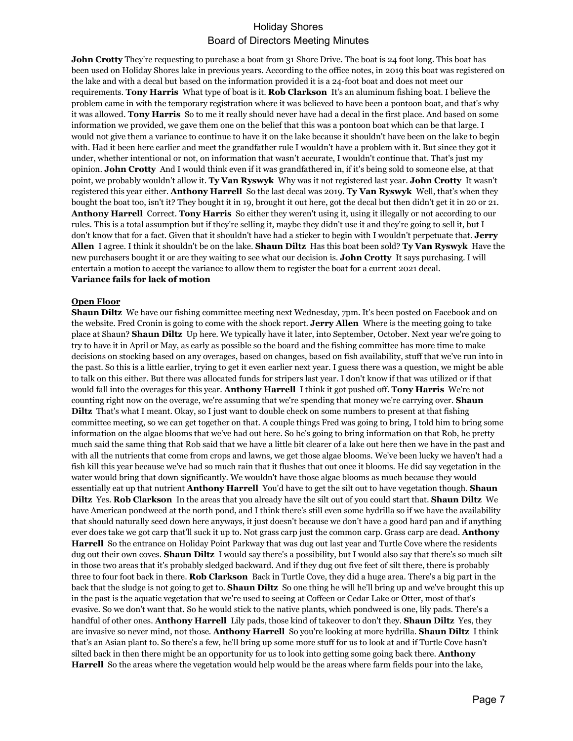**John Crotty** They're requesting to purchase a boat from 31 Shore Drive. The boat is 24 foot long. This boat has been used on Holiday Shores lake in previous years. According to the office notes, in 2019 this boat was registered on the lake and with a decal but based on the information provided it is a 24-foot boat and does not meet our requirements. **Tony Harris** What type of boat is it. **Rob Clarkson** It's an aluminum fishing boat. I believe the problem came in with the temporary registration where it was believed to have been a pontoon boat, and that's why it was allowed. **Tony Harris** So to me it really should never have had a decal in the first place. And based on some information we provided, we gave them one on the belief that this was a pontoon boat which can be that large. I would not give them a variance to continue to have it on the lake because it shouldn't have been on the lake to begin with. Had it been here earlier and meet the grandfather rule I wouldn't have a problem with it. But since they got it under, whether intentional or not, on information that wasn't accurate, I wouldn't continue that. That's just my opinion. **John Crotty** And I would think even if it was grandfathered in, if it's being sold to someone else, at that point, we probably wouldn't allow it. **Ty Van Ryswyk** Why was it not registered last year. **John Crotty** It wasn't registered this year either. **Anthony Harrell** So the last decal was 2019. **Ty Van Ryswyk** Well, that's when they bought the boat too, isn't it? They bought it in 19, brought it out here, got the decal but then didn't get it in 20 or 21. **Anthony Harrell** Correct. **Tony Harris** So either they weren't using it, using it illegally or not according to our rules. This is a total assumption but if they're selling it, maybe they didn't use it and they're going to sell it, but I don't know that for a fact. Given that it shouldn't have had a sticker to begin with I wouldn't perpetuate that. **Jerry Allen** I agree. I think it shouldn't be on the lake. **Shaun Diltz** Has this boat been sold? **Ty Van Ryswyk** Have the new purchasers bought it or are they waiting to see what our decision is. **John Crotty** It says purchasing. I will entertain a motion to accept the variance to allow them to register the boat for a current 2021 decal. **Variance fails for lack of motion**

### **Open Floor**

**Shaun Diltz** We have our fishing committee meeting next Wednesday, 7pm. It's been posted on Facebook and on the website. Fred Cronin is going to come with the shock report. **Jerry Allen** Where is the meeting going to take place at Shaun? **Shaun Diltz** Up here. We typically have it later, into September, October. Next year we're going to try to have it in April or May, as early as possible so the board and the fishing committee has more time to make decisions on stocking based on any overages, based on changes, based on fish availability, stuff that we've run into in the past. So this is a little earlier, trying to get it even earlier next year. I guess there was a question, we might be able to talk on this either. But there was allocated funds for stripers last year. I don't know if that was utilized or if that would fall into the overages for this year. **Anthony Harrell** I think it got pushed off. **Tony Harris** We're not counting right now on the overage, we're assuming that we're spending that money we're carrying over. **Shaun Diltz** That's what I meant. Okay, so I just want to double check on some numbers to present at that fishing committee meeting, so we can get together on that. A couple things Fred was going to bring, I told him to bring some information on the algae blooms that we've had out here. So he's going to bring information on that Rob, he pretty much said the same thing that Rob said that we have a little bit clearer of a lake out here then we have in the past and with all the nutrients that come from crops and lawns, we get those algae blooms. We've been lucky we haven't had a fish kill this year because we've had so much rain that it flushes that out once it blooms. He did say vegetation in the water would bring that down significantly. We wouldn't have those algae blooms as much because they would essentially eat up that nutrient **Anthony Harrell** You'd have to get the silt out to have vegetation though. **Shaun Diltz** Yes. **Rob Clarkson** In the areas that you already have the silt out of you could start that. **Shaun Diltz** We have American pondweed at the north pond, and I think there's still even some hydrilla so if we have the availability that should naturally seed down here anyways, it just doesn't because we don't have a good hard pan and if anything ever does take we got carp that'll suck it up to. Not grass carp just the common carp. Grass carp are dead. **Anthony Harrell** So the entrance on Holiday Point Parkway that was dug out last year and Turtle Cove where the residents dug out their own coves. **Shaun Diltz** I would say there's a possibility, but I would also say that there's so much silt in those two areas that it's probably sledged backward. And if they dug out five feet of silt there, there is probably three to four foot back in there. **Rob Clarkson** Back in Turtle Cove, they did a huge area. There's a big part in the back that the sludge is not going to get to. **Shaun Diltz** So one thing he will he'll bring up and we've brought this up in the past is the aquatic vegetation that we're used to seeing at Coffeen or Cedar Lake or Otter, most of that's evasive. So we don't want that. So he would stick to the native plants, which pondweed is one, lily pads. There's a handful of other ones. **Anthony Harrell** Lily pads, those kind of takeover to don't they. **Shaun Diltz** Yes, they are invasive so never mind, not those. **Anthony Harrell** So you're looking at more hydrilla. **Shaun Diltz** I think that's an Asian plant to. So there's a few, he'll bring up some more stuff for us to look at and if Turtle Cove hasn't silted back in then there might be an opportunity for us to look into getting some going back there. **Anthony Harrell** So the areas where the vegetation would help would be the areas where farm fields pour into the lake,